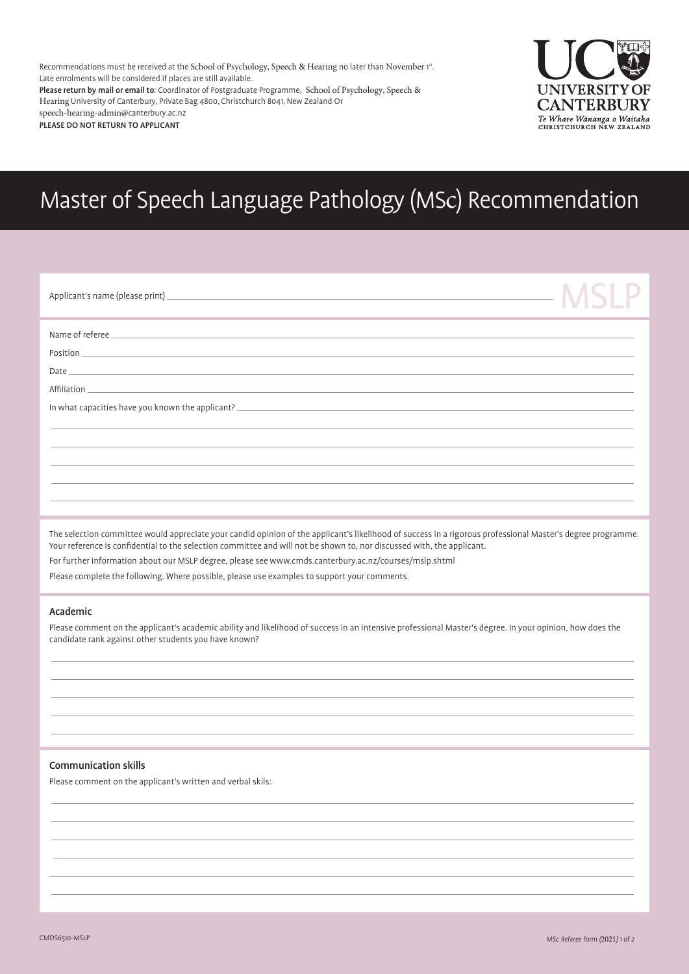Recommendations must be received at the School of Psychology, Speech & Hearing no later than November 1st. Late enrolments will be considered if places are still available. Please return by mail or email to: Coordinator of Postgraduate Programme, School of Psychology, Speech & Hearing University of Canterbury, Private Bag 4800, Christchurch 8041, New Zealand Or speech-hearing-admin@canterbury.ac.nz

PLEASE DO NOT RETURN TO APPLICANT



# Master of Speech Language Pathology (MSc) Recommendation

|                                                                                                                                                                                                                                      | <b>NISIP</b> |
|--------------------------------------------------------------------------------------------------------------------------------------------------------------------------------------------------------------------------------------|--------------|
|                                                                                                                                                                                                                                      |              |
| Position <u>the contract of the contract of the contract of the contract of the contract of the contract of the contract of the contract of the contract of the contract of the contract of the contract of the contract of the </u> |              |
|                                                                                                                                                                                                                                      |              |
| In what capacities have you known the applicant?                                                                                                                                                                                     |              |
|                                                                                                                                                                                                                                      |              |
| ,我们也不能会在这里,我们也不能会在这里,我们也不能会在这里,我们也不能会在这里,我们也不能会在这里,我们也不能会在这里,我们也不能会不能会不能会不能会不能会不                                                                                                                                                     |              |
|                                                                                                                                                                                                                                      |              |

The selection committee would appreciate your candid opinion of the applicant's likelihood of success in a rigorous professional Master's degree programme. Your reference is confidential to the selection committee and will not be shown to, nor discussed with, the applicant.

For further information about our MSLP degree, please see www.cmds.canterbury.ac.nz/courses/mslp.shtml Please complete the following. Where possible, please use examples to support your comments.

#### Academic

Please comment on the applicant's academic ability and likelihood of success in an intensive professional Master's degree. In your opinion, how does the candidate rank against other students you have known?

## Communication skills

Please comment on the applicant's written and verbal skils: